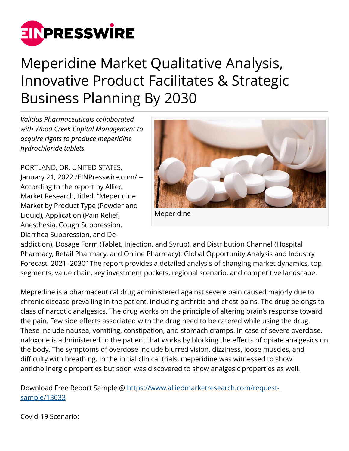

## Meperidine Market Qualitative Analysis, Innovative Product Facilitates & Strategic Business Planning By 2030

*Validus Pharmaceuticals collaborated with Wood Creek Capital Management to acquire rights to produce meperidine hydrochloride tablets.*

PORTLAND, OR, UNITED STATES, January 21, 2022 /[EINPresswire.com](http://www.einpresswire.com)/ -- According to the report by Allied Market Research, titled, "Meperidine Market by Product Type (Powder and Liquid), Application (Pain Relief, Anesthesia, Cough Suppression, Diarrhea Suppression, and De-



Meperidine

addiction), Dosage Form (Tablet, Injection, and Syrup), and Distribution Channel (Hospital Pharmacy, Retail Pharmacy, and Online Pharmacy): Global Opportunity Analysis and Industry Forecast, 2021–2030" The report provides a detailed analysis of changing market dynamics, top segments, value chain, key investment pockets, regional scenario, and competitive landscape.

Mepredine is a pharmaceutical drug administered against severe pain caused majorly due to chronic disease prevailing in the patient, including arthritis and chest pains. The drug belongs to class of narcotic analgesics. The drug works on the principle of altering brain's response toward the pain. Few side effects associated with the drug need to be catered while using the drug. These include nausea, vomiting, constipation, and stomach cramps. In case of severe overdose, naloxone is administered to the patient that works by blocking the effects of opiate analgesics on the body. The symptoms of overdose include blurred vision, dizziness, loose muscles, and difficulty with breathing. In the initial clinical trials, meperidine was witnessed to show anticholinergic properties but soon was discovered to show analgesic properties as well.

Download Free Report Sample @ [https://www.alliedmarketresearch.com/request](https://www.alliedmarketresearch.com/request-sample/13033)[sample/13033](https://www.alliedmarketresearch.com/request-sample/13033)

Covid-19 Scenario: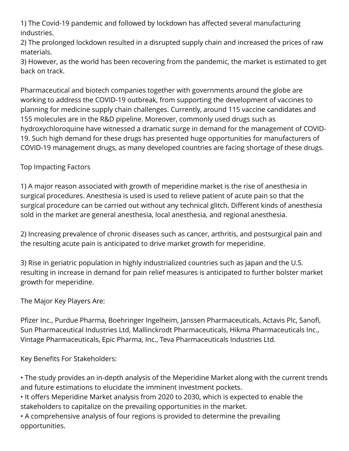1) The Covid-19 pandemic and followed by lockdown has affected several manufacturing industries.

2) The prolonged lockdown resulted in a disrupted supply chain and increased the prices of raw materials.

3) However, as the world has been recovering from the pandemic, the market is estimated to get back on track.

Pharmaceutical and biotech companies together with governments around the globe are working to address the COVID-19 outbreak, from supporting the development of vaccines to planning for medicine supply chain challenges. Currently, around 115 vaccine candidates and 155 molecules are in the R&D pipeline. Moreover, commonly used drugs such as hydroxychloroquine have witnessed a dramatic surge in demand for the management of COVID-19. Such high demand for these drugs has presented huge opportunities for manufacturers of COVID-19 management drugs, as many developed countries are facing shortage of these drugs.

## Top Impacting Factors

1) A major reason associated with growth of meperidine market is the rise of anesthesia in surgical procedures. Anesthesia is used is used to relieve patient of acute pain so that the surgical procedure can be carried out without any technical glitch. Different kinds of anesthesia sold in the market are general anesthesia, local anesthesia, and regional anesthesia.

2) Increasing prevalence of chronic diseases such as cancer, arthritis, and postsurgical pain and the resulting acute pain is anticipated to drive market growth for meperidine.

3) Rise in geriatric population in highly industrialized countries such as Japan and the U.S. resulting in increase in demand for pain relief measures is anticipated to further bolster market growth for meperidine.

The Major Key Players Are:

Pfizer Inc., Purdue Pharma, Boehringer Ingelheim, Janssen Pharmaceuticals, Actavis Plc, Sanofi, Sun Pharmaceutical Industries Ltd, Mallinckrodt Pharmaceuticals, Hikma Pharmaceuticals Inc., Vintage Pharmaceuticals, Epic Pharma, Inc., Teva Pharmaceuticals Industries Ltd.

Key Benefits For Stakeholders:

• The study provides an in-depth analysis of the Meperidine Market along with the current trends and future estimations to elucidate the imminent investment pockets.

• It offers Meperidine Market analysis from 2020 to 2030, which is expected to enable the stakeholders to capitalize on the prevailing opportunities in the market.

• A comprehensive analysis of four regions is provided to determine the prevailing opportunities.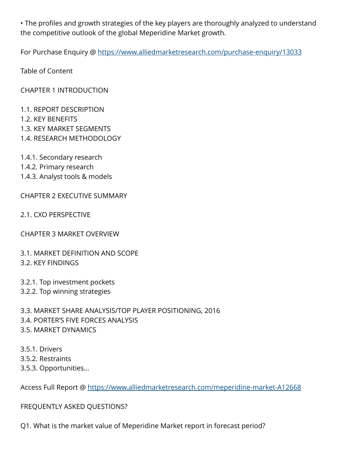• The profiles and growth strategies of the key players are thoroughly analyzed to understand the competitive outlook of the global Meperidine Market growth.

For Purchase Enquiry @ <https://www.alliedmarketresearch.com/purchase-enquiry/13033>

Table of Content

CHAPTER 1 INTRODUCTION

- 1.1. REPORT DESCRIPTION
- 1.2. KEY BENEFITS
- 1.3. KEY MARKET SEGMENTS
- 1.4. RESEARCH METHODOLOGY
- 1.4.1. Secondary research
- 1.4.2. Primary research
- 1.4.3. Analyst tools & models

CHAPTER 2 EXECUTIVE SUMMARY

2.1. CXO PERSPECTIVE

CHAPTER 3 MARKET OVERVIEW

3.1. MARKET DEFINITION AND SCOPE 3.2. KEY FINDINGS

3.2.1. Top investment pockets 3.2.2. Top winning strategies

3.3. MARKET SHARE ANALYSIS/TOP PLAYER POSITIONING, 2016 3.4. PORTER'S FIVE FORCES ANALYSIS 3.5. MARKET DYNAMICS

- 3.5.1. Drivers 3.5.2. Restraints
- 3.5.3. Opportunities…

Access Full Report @ <https://www.alliedmarketresearch.com/meperidine-market-A12668>

## FREQUENTLY ASKED QUESTIONS?

Q1. What is the market value of Meperidine Market report in forecast period?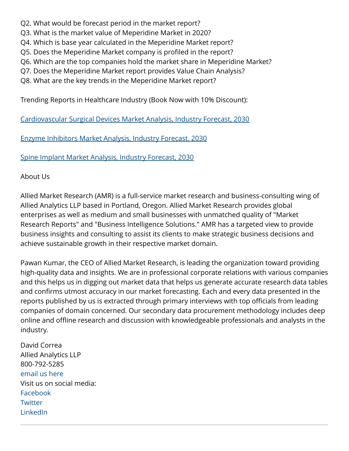- Q2. What would be forecast period in the market report?
- Q3. What is the market value of Meperidine Market in 2020?
- Q4. Which is base year calculated in the Meperidine Market report?
- Q5. Does the Meperidine Market company is profiled in the report?
- Q6. Which are the top companies hold the market share in Meperidine Market?
- Q7. Does the Meperidine Market report provides Value Chain Analysis?
- Q8. What are the key trends in the Meperidine Market report?

Trending Reports in Healthcare Industry (Book Now with 10% Discount):

[Cardiovascular Surgical Devices Market Analysis, Industry Forecast, 2030](https://www.alliedmarketresearch.com/request-sample/1877)

[Enzyme Inhibitors Market Analysis, Industry Forecast, 2030](https://www.alliedmarketresearch.com/request-sample/1880)

[Spine Implant Market Analysis, Industry Forecast, 2030](https://www.alliedmarketresearch.com/request-sample/1884)

About Us

Allied Market Research (AMR) is a full-service market research and business-consulting wing of Allied Analytics LLP based in Portland, Oregon. Allied Market Research provides global enterprises as well as medium and small businesses with unmatched quality of "Market Research Reports" and "Business Intelligence Solutions." AMR has a targeted view to provide business insights and consulting to assist its clients to make strategic business decisions and achieve sustainable growth in their respective market domain.

Pawan Kumar, the CEO of Allied Market Research, is leading the organization toward providing high-quality data and insights. We are in professional corporate relations with various companies and this helps us in digging out market data that helps us generate accurate research data tables and confirms utmost accuracy in our market forecasting. Each and every data presented in the reports published by us is extracted through primary interviews with top officials from leading companies of domain concerned. Our secondary data procurement methodology includes deep online and offline research and discussion with knowledgeable professionals and analysts in the industry.

David Correa Allied Analytics LLP 800-792-5285 [email us here](http://www.einpresswire.com/contact_author/3293986) Visit us on social media: [Facebook](https://www.facebook.com/alliedmarketresearch/) **[Twitter](https://twitter.com/allied_mr)** [LinkedIn](https://www.linkedin.com/company/allied-market-research)